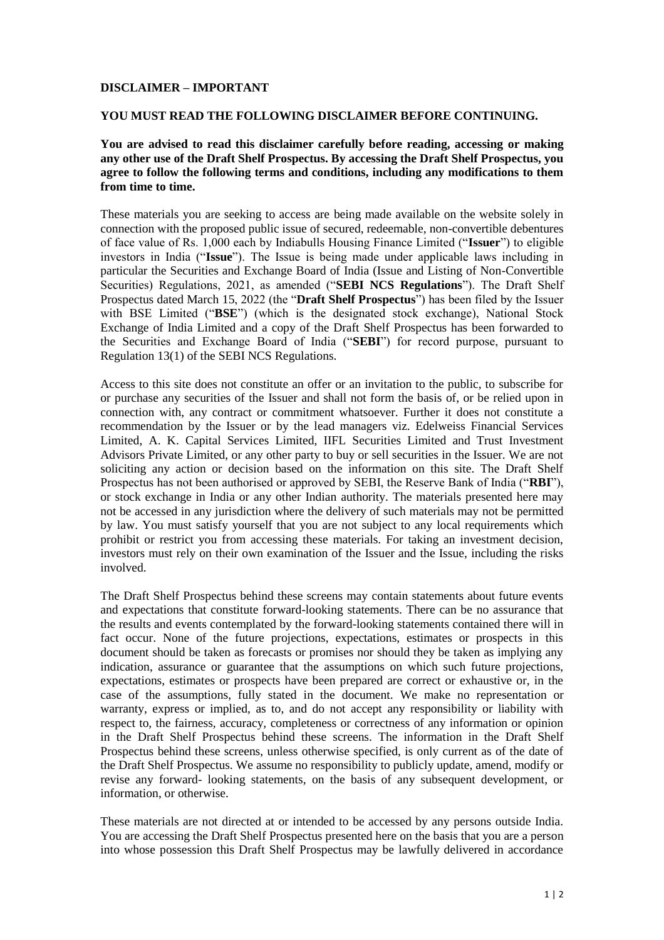## **DISCLAIMER – IMPORTANT**

## **YOU MUST READ THE FOLLOWING DISCLAIMER BEFORE CONTINUING.**

## **You are advised to read this disclaimer carefully before reading, accessing or making any other use of the Draft Shelf Prospectus. By accessing the Draft Shelf Prospectus, you agree to follow the following terms and conditions, including any modifications to them from time to time.**

These materials you are seeking to access are being made available on the website solely in connection with the proposed public issue of secured, redeemable, non-convertible debentures of face value of Rs. 1,000 each by Indiabulls Housing Finance Limited ("**Issuer**") to eligible investors in India ("**Issue**"). The Issue is being made under applicable laws including in particular the Securities and Exchange Board of India (Issue and Listing of Non-Convertible Securities) Regulations, 2021, as amended ("**SEBI NCS Regulations**"). The Draft Shelf Prospectus dated March 15, 2022 (the "**Draft Shelf Prospectus**") has been filed by the Issuer with BSE Limited ("**BSE**") (which is the designated stock exchange), National Stock Exchange of India Limited and a copy of the Draft Shelf Prospectus has been forwarded to the Securities and Exchange Board of India ("**SEBI**") for record purpose, pursuant to Regulation 13(1) of the SEBI NCS Regulations.

Access to this site does not constitute an offer or an invitation to the public, to subscribe for or purchase any securities of the Issuer and shall not form the basis of, or be relied upon in connection with, any contract or commitment whatsoever. Further it does not constitute a recommendation by the Issuer or by the lead managers viz. Edelweiss Financial Services Limited, A. K. Capital Services Limited, IIFL Securities Limited and Trust Investment Advisors Private Limited, or any other party to buy or sell securities in the Issuer. We are not soliciting any action or decision based on the information on this site. The Draft Shelf Prospectus has not been authorised or approved by SEBI, the Reserve Bank of India ("**RBI**"), or stock exchange in India or any other Indian authority. The materials presented here may not be accessed in any jurisdiction where the delivery of such materials may not be permitted by law. You must satisfy yourself that you are not subject to any local requirements which prohibit or restrict you from accessing these materials. For taking an investment decision, investors must rely on their own examination of the Issuer and the Issue, including the risks involved.

The Draft Shelf Prospectus behind these screens may contain statements about future events and expectations that constitute forward-looking statements. There can be no assurance that the results and events contemplated by the forward-looking statements contained there will in fact occur. None of the future projections, expectations, estimates or prospects in this document should be taken as forecasts or promises nor should they be taken as implying any indication, assurance or guarantee that the assumptions on which such future projections, expectations, estimates or prospects have been prepared are correct or exhaustive or, in the case of the assumptions, fully stated in the document. We make no representation or warranty, express or implied, as to, and do not accept any responsibility or liability with respect to, the fairness, accuracy, completeness or correctness of any information or opinion in the Draft Shelf Prospectus behind these screens. The information in the Draft Shelf Prospectus behind these screens, unless otherwise specified, is only current as of the date of the Draft Shelf Prospectus. We assume no responsibility to publicly update, amend, modify or revise any forward- looking statements, on the basis of any subsequent development, or information, or otherwise.

These materials are not directed at or intended to be accessed by any persons outside India. You are accessing the Draft Shelf Prospectus presented here on the basis that you are a person into whose possession this Draft Shelf Prospectus may be lawfully delivered in accordance